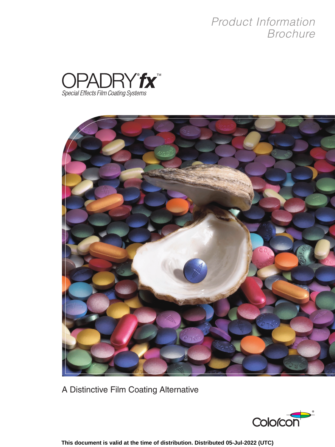# *Product Information Brochure*





A Distinctive Film Coating Alternative



**This document is valid at the time of distribution. Distributed 05-Jul-2022 (UTC)**